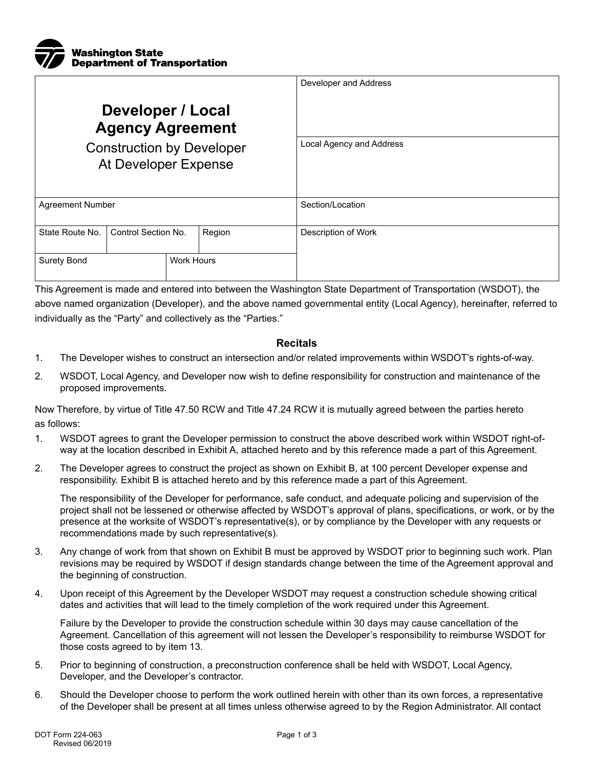

|                                                          |                     |                   |        | Developer and Address    |
|----------------------------------------------------------|---------------------|-------------------|--------|--------------------------|
| Developer / Local<br><b>Agency Agreement</b>             |                     |                   |        |                          |
| <b>Construction by Developer</b><br>At Developer Expense |                     |                   |        | Local Agency and Address |
| <b>Agreement Number</b>                                  |                     |                   |        | Section/Location         |
| State Route No.                                          | Control Section No. |                   | Region | Description of Work      |
| <b>Surety Bond</b>                                       |                     | <b>Work Hours</b> |        |                          |

This Agreement is made and entered into between the Washington State Department of Transportation (WSDOT), the above named organization (Developer), and the above named governmental entity (Local Agency), hereinafter, referred to individually as the "Party" and collectively as the "Parties."

## **Recitals**

- 1. The Developer wishes to construct an intersection and/or related improvements within WSDOT's rights-of-way.
- 2. WSDOT, Local Agency, and Developer now wish to define responsibility for construction and maintenance of the proposed improvements.

Now Therefore, by virtue of Title 47.50 RCW and Title 47.24 RCW it is mutually agreed between the parties hereto as follows:

- 1. WSDOT agrees to grant the Developer permission to construct the above described work within WSDOT right-ofway at the location described in Exhibit A, attached hereto and by this reference made a part of this Agreement.
- 2. The Developer agrees to construct the project as shown on Exhibit B, at 100 percent Developer expense and responsibility. Exhibit B is attached hereto and by this reference made a part of this Agreement.

The responsibility of the Developer for performance, safe conduct, and adequate policing and supervision of the project shall not be lessened or otherwise affected by WSDOT's approval of plans, specifications, or work, or by the presence at the worksite of WSDOT's representative(s), or by compliance by the Developer with any requests or recommendations made by such representative(s).

- 3. Any change of work from that shown on Exhibit B must be approved by WSDOT prior to beginning such work. Plan revisions may be required by WSDOT if design standards change between the time of the Agreement approval and the beginning of construction.
- 4. Upon receipt of this Agreement by the Developer WSDOT may request a construction schedule showing critical dates and activities that will lead to the timely completion of the work required under this Agreement.

Failure by the Developer to provide the construction schedule within 30 days may cause cancellation of the Agreement. Cancellation of this agreement will not lessen the Developer's responsibility to reimburse WSDOT for those costs agreed to by item 13.

- 5. Prior to beginning of construction, a preconstruction conference shall be held with WSDOT, Local Agency, Developer, and the Developer's contractor.
- 6. Should the Developer choose to perform the work outlined herein with other than its own forces, a representative of the Developer shall be present at all times unless otherwise agreed to by the Region Administrator. All contact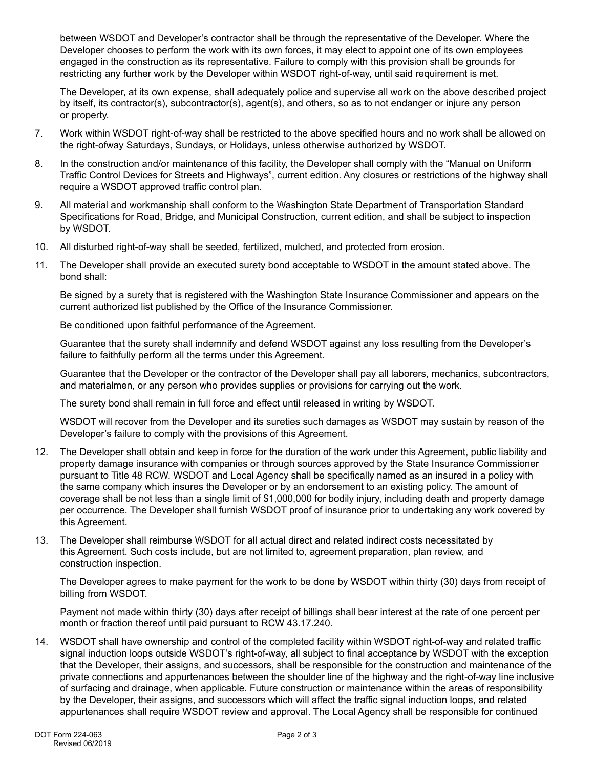between WSDOT and Developer's contractor shall be through the representative of the Developer. Where the Developer chooses to perform the work with its own forces, it may elect to appoint one of its own employees engaged in the construction as its representative. Failure to comply with this provision shall be grounds for restricting any further work by the Developer within WSDOT right-of-way, until said requirement is met.

The Developer, at its own expense, shall adequately police and supervise all work on the above described project by itself, its contractor(s), subcontractor(s), agent(s), and others, so as to not endanger or injure any person or property.

- 7. Work within WSDOT right-of-way shall be restricted to the above specified hours and no work shall be allowed on the right-ofway Saturdays, Sundays, or Holidays, unless otherwise authorized by WSDOT.
- 8. In the construction and/or maintenance of this facility, the Developer shall comply with the "Manual on Uniform Traffic Control Devices for Streets and Highways", current edition. Any closures or restrictions of the highway shall require a WSDOT approved traffic control plan.
- 9. All material and workmanship shall conform to the Washington State Department of Transportation Standard Specifications for Road, Bridge, and Municipal Construction, current edition, and shall be subject to inspection by WSDOT.
- 10. All disturbed right-of-way shall be seeded, fertilized, mulched, and protected from erosion.
- 11. The Developer shall provide an executed surety bond acceptable to WSDOT in the amount stated above. The bond shall:

Be signed by a surety that is registered with the Washington State Insurance Commissioner and appears on the current authorized list published by the Office of the Insurance Commissioner.

Be conditioned upon faithful performance of the Agreement.

Guarantee that the surety shall indemnify and defend WSDOT against any loss resulting from the Developer's failure to faithfully perform all the terms under this Agreement.

Guarantee that the Developer or the contractor of the Developer shall pay all laborers, mechanics, subcontractors, and materialmen, or any person who provides supplies or provisions for carrying out the work.

The surety bond shall remain in full force and effect until released in writing by WSDOT.

WSDOT will recover from the Developer and its sureties such damages as WSDOT may sustain by reason of the Developer's failure to comply with the provisions of this Agreement.

- 12. The Developer shall obtain and keep in force for the duration of the work under this Agreement, public liability and property damage insurance with companies or through sources approved by the State Insurance Commissioner pursuant to Title 48 RCW. WSDOT and Local Agency shall be specifically named as an insured in a policy with the same company which insures the Developer or by an endorsement to an existing policy. The amount of coverage shall be not less than a single limit of \$1,000,000 for bodily injury, including death and property damage per occurrence. The Developer shall furnish WSDOT proof of insurance prior to undertaking any work covered by this Agreement.
- 13. The Developer shall reimburse WSDOT for all actual direct and related indirect costs necessitated by this Agreement. Such costs include, but are not limited to, agreement preparation, plan review, and construction inspection.

The Developer agrees to make payment for the work to be done by WSDOT within thirty (30) days from receipt of billing from WSDOT.

Payment not made within thirty (30) days after receipt of billings shall bear interest at the rate of one percent per month or fraction thereof until paid pursuant to RCW 43.17.240.

14. WSDOT shall have ownership and control of the completed facility within WSDOT right-of-way and related traffic signal induction loops outside WSDOT's right-of-way, all subject to final acceptance by WSDOT with the exception that the Developer, their assigns, and successors, shall be responsible for the construction and maintenance of the private connections and appurtenances between the shoulder line of the highway and the right-of-way line inclusive of surfacing and drainage, when applicable. Future construction or maintenance within the areas of responsibility by the Developer, their assigns, and successors which will affect the traffic signal induction loops, and related appurtenances shall require WSDOT review and approval. The Local Agency shall be responsible for continued